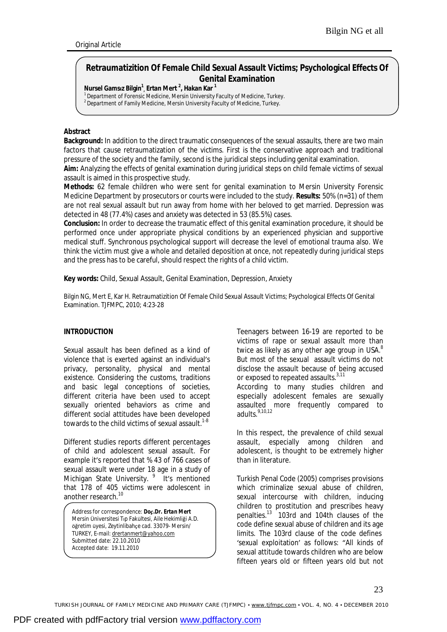# **Retraumatizition Of Female Child Sexual Assault Victims; Psychological Effects Of Genital Examination**

**Nursel Gamsız Bilgin<sup>1</sup> , Ertan Mert <sup>2</sup> , Hakan Kar <sup>1</sup>**

<sup>1</sup> Department of Forensic Medicine, Mersin University Faculty of Medicine, Turkey.

<sup>2</sup> Department of Family Medicine, Mersin University Faculty of Medicine, Turkey.

#### **Abstract**

**Background:** In addition to the direct traumatic consequences of the sexual assaults, there are two main factors that cause retraumatization of the victims. First is the conservative approach and traditional pressure of the society and the family, second is the juridical steps including genital examination.

**Aim:** Analyzing the effects of genital examination during juridical steps on child female victims of sexual assault is aimed in this prospective study.

**Methods:** 62 female children who were sent for genital examination to Mersin University Forensic Medicine Department by prosecutors or courts were included to the study. **Results:** 50% (n=31) of them are not real sexual assault but run away from home with her beloved to get married. Depression was detected in 48 (77.4%) cases and anxiety was detected in 53 (85.5%) cases.

**Conclusion:** In order to decrease the traumatic effect of this genital examination procedure, it should be performed once under appropriate physical conditions by an experienced physician and supportive medical stuff. Synchronous psychological support will decrease the level of emotional trauma also. We think the victim must give a whole and detailed deposition at once, not repeatedly during juridical steps and the press has to be careful, should respect the rights of a child victim.

**Key words:** Child, Sexual Assault, Genital Examination, Depression, Anxiety

Bilgin NG, Mert E, Kar H. Retraumatizition Of Female Child Sexual Assault Victims; Psychological Effects Of Genital Examination. TJFMPC, 2010; 4:23-28

## **INTRODUCTION**

Sexual assault has been defined as a kind of violence that is exerted against an individual's privacy, personality, physical and mental existence. Considering the customs, traditions and basic legal conceptions of societies, different criteria have been used to accept sexually oriented behaviors as crime and different social attitudes have been developed towards to the child victims of sexual assault.<sup>1-8</sup>

Different studies reports different percentages of child and adolescent sexual assault. For example it's reported that % 43 of 766 cases of sexual assault were under 18 age in a study of Michigan State University. <sup>9</sup> It's mentioned that 178 of 405 victims were adolescent in another research.<sup>10</sup>

Address for correspondence: *Doç.Dr. Ertan Mert*  Mersin Üniversitesi Tıp Fakültesi, Aile Hekimliği A.D. öğretim üyesi, Zeytinlibahçe cad. 33079- Mersin/ TURKEY, E-mail: [drertanmert@yahoo.com](mailto:drertanmert@yahoo.com) Submitted date: 22.10.2010 Accepted date: 19.11.2010

Teenagers between 16-19 are reported to be victims of rape or sexual assault more than twice as likely as any other age group in USA. $8$ But most of the sexual assault victims do not disclose the assault because of being accused or exposed to repeated assaults.<sup>3,11</sup>

According to many studies children and especially adolescent females are sexually assaulted more frequently compared to adults.<sup>9,10,12</sup>

In this respect, the prevalence of child sexual assault, especially among children and adolescent, is thought to be extremely higher than in literature.

Turkish Penal Code (2005) comprises provisions which criminalize sexual abuse of children, sexual intercourse with children, inducing children to prostitution and prescribes heavy penalties. $13$  103rd and 104th clauses of the code define sexual abuse of children and its age limits. The 103rd clause of the code defines 'sexual exploitation' as follows: "All kinds of sexual attitude towards children who are below fifteen years old or fifteen years old but not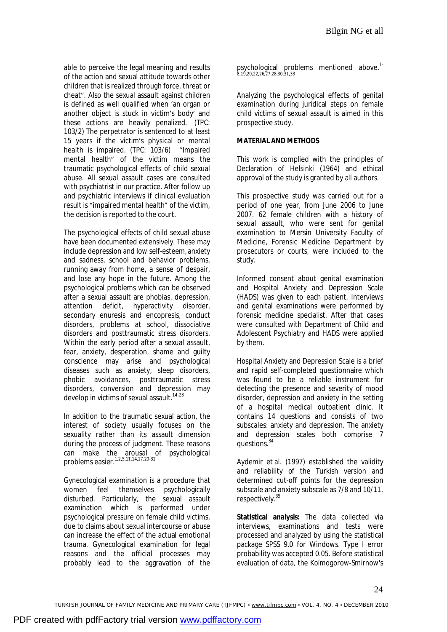able to perceive the legal meaning and results of the action and sexual attitude towards other children that is realized through force, threat or cheat". Also the sexual assault against children is defined as well qualified when 'an organ or another object is stuck in victim's body' and these actions are heavily penalized. (TPC: 103/2) The perpetrator is sentenced to at least 15 years if the victim's physical or mental health is impaired. (TPC: 103/6) "Impaired mental health" of the victim means the traumatic psychological effects of child sexual abuse. All sexual assault cases are consulted with psychiatrist in our practice. After follow up and psychiatric interviews if clinical evaluation result is "impaired mental health" of the victim, the decision is reported to the court.

The psychological effects of child sexual abuse have been documented extensively. These may include depression and low self-esteem, anxiety and sadness, school and behavior problems, running away from home, a sense of despair, and lose any hope in the future. Among the psychological problems which can be observed after a sexual assault are phobias, depression, attention deficit, hyperactivity disorder, secondary enuresis and encopresis, conduct disorders, problems at school, dissociative disorders and posttraumatic stress disorders. Within the early period after a sexual assault, fear, anxiety, desperation, shame and guilty conscience may arise and psychological diseases such as anxiety, sleep disorders, phobic avoidances, posttraumatic stress disorders, conversion and depression may develop in victims of sexual assault.<sup>14-23</sup>

In addition to the traumatic sexual action, the interest of society usually focuses on the sexuality rather than its assault dimension during the process of judgment. These reasons can make the arousal of psychological problems easier.1,2,5,11,14,17,20-32

Gynecological examination is a procedure that women feel themselves psychologically disturbed. Particularly, the sexual assault examination which is performed under psychological pressure on female child victims, due to claims about sexual intercourse or abuse can increase the effect of the actual emotional trauma. Gynecological examination for legal reasons and the official processes may probably lead to the aggravation of the

psychological problems mentioned above.<sup>1-</sup><br>8,19,20,22,26,27,28,30,31,33

Analyzing the psychological effects of genital examination during juridical steps on female child victims of sexual assault is aimed in this prospective study.

# **MATERIAL AND METHODS**

This work is complied with the principles of Declaration of Helsinki (1964) and ethical approval of the study is granted by all authors.

This prospective study was carried out for a period of one year, from June 2006 to June 2007. 62 female children with a history of sexual assault, who were sent for genital examination to Mersin University Faculty of Medicine, Forensic Medicine Department by prosecutors or courts, were included to the study.

Informed consent about genital examination and Hospital Anxiety and Depression Scale (HADS) was given to each patient. Interviews and genital examinations were performed by forensic medicine specialist. After that cases were consulted with Department of Child and Adolescent Psychiatry and HADS were applied by them.

Hospital Anxiety and Depression Scale is a brief and rapid self-completed questionnaire which was found to be a reliable instrument for detecting the presence and severity of mood disorder, depression and anxiety in the setting of a hospital medical outpatient clinic. It contains 14 questions and consists of two subscales: anxiety and depression. The anxiety and depression scales both comprise 7 questions.<sup>34</sup>

Aydemir et al. (1997) established the validity and reliability of the Turkish version and determined cut-off points for the depression subscale and anxiety subscale as 7/8 and 10/11, respectively.<sup>35</sup>

**Statistical analysis:** The data collected via interviews, examinations and tests were processed and analyzed by using the statistical package SPSS 9.0 for Windows. Type I error probability was accepted 0.05. Before statistical evaluation of data, the Kolmogorow-Smirnow's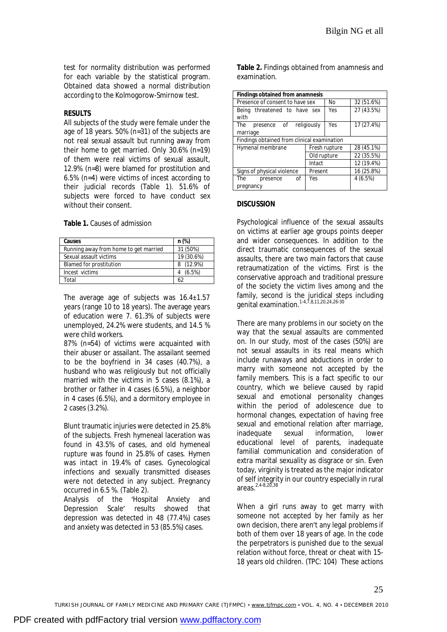test for normality distribution was performed for each variable by the statistical program. Obtained data showed a normal distribution according to the Kolmogorow-Smirnow test.

#### **RESULTS**

All subjects of the study were female under the age of 18 years. 50% (n=31) of the subjects are not real sexual assault but running away from their home to get married. Only 30.6% (n=19) of them were real victims of sexual assault, 12.9% (n=8) were blamed for prostitution and 6.5% (n=4) were victims of incest according to their judicial records (Table 1). 51.6% of subjects were forced to have conduct sex without their consent.

#### **Table 1.** Causes of admission

| Causes                                | n (%)      |
|---------------------------------------|------------|
| Running away from home to get married | 31 (50%)   |
| Sexual assault victims                | 19 (30.6%) |
| <b>Blamed for prostitution</b>        | 8 (12.9%)  |
| Incest victims                        | $(6.5\%)$  |
| Total                                 | 62         |

The average age of subjects was 16.4±1.57 years (range 10 to 18 years). The average years of education were 7. 61.3% of subjects were unemployed, 24.2% were students, and 14.5 % were child workers.

87% (n=54) of victims were acquainted with their abuser or assailant. The assailant seemed to be the boyfriend in 34 cases (40.7%), a husband who was religiously but not officially married with the victims in 5 cases (8.1%), a brother or father in 4 cases (6.5%), a neighbor in 4 cases (6.5%), and a dormitory employee in 2 cases (3.2%).

Blunt traumatic injuries were detected in 25.8% of the subjects. Fresh hymeneal laceration was found in 43.5% of cases, and old hymeneal rupture was found in 25.8% of cases. Hymen was intact in 19.4% of cases. Gynecological infections and sexually transmitted diseases were not detected in any subject. Pregnancy occurred in 6.5 %. (Table 2).

Analysis of the 'Hospital Anxiety and Depression Scale' results showed that depression was detected in 48 (77.4%) cases and anxiety was detected in 53 (85.5%) cases.

**Table 2.** Findings obtained from anamnesis and examination.

| Findings obtained from anamnesis            |                    |            |  |
|---------------------------------------------|--------------------|------------|--|
| Presence of consent to have sex             | No                 | 32 (51.6%) |  |
| Being threatened to have sex<br>with        | Yes                | 27 (43.5%) |  |
| The<br>presence of<br>marriage              | Yes<br>religiously | 17 (27.4%) |  |
| Findings obtained from clinical examination |                    |            |  |
| Hymenal membrane                            | Fresh rupture      | 28 (45.1%) |  |
|                                             | Old rupture        | 22 (35.5%) |  |
|                                             | Intact             | 12 (19.4%) |  |
| Signs of physical violence                  | Present            | 16 (25.8%) |  |
| The<br>οf<br>presence                       | Yes                | 4(6.5%)    |  |
| pregnancy                                   |                    |            |  |

#### **DISCUSSION**

Psychological influence of the sexual assaults on victims at earlier age groups points deeper and wider consequences. In addition to the direct traumatic consequences of the sexual assaults, there are two main factors that cause retraumatization of the victims. First is the conservative approach and traditional pressure of the society the victim lives among and the family, second is the juridical steps including genital examination.<sup>1-4,7,8,11,20,24,26-30</sup>

There are many problems in our society on the way that the sexual assaults are commented on. In our study, most of the cases (50%) are not sexual assaults in its real means which include runaways and abductions in order to marry with someone not accepted by the family members. This is a fact specific to our country, which we believe caused by rapid sexual and emotional personality changes within the period of adolescence due to hormonal changes, expectation of having free sexual and emotional relation after marriage, inadequate sexual information, lower educational level of parents, inadequate familial communication and consideration of extra marital sexuality as disgrace or sin. Even today, virginity is treated as the major indicator of self integrity in our country especially in rural areas $2,4-8,20,38$ 

When a girl runs away to get marry with someone not accepted by her family as her own decision, there aren't any legal problems if both of them over 18 years of age. In the code the perpetrators is punished due to the sexual relation without force, threat or cheat with 15- 18 years old children. (TPC: 104) These actions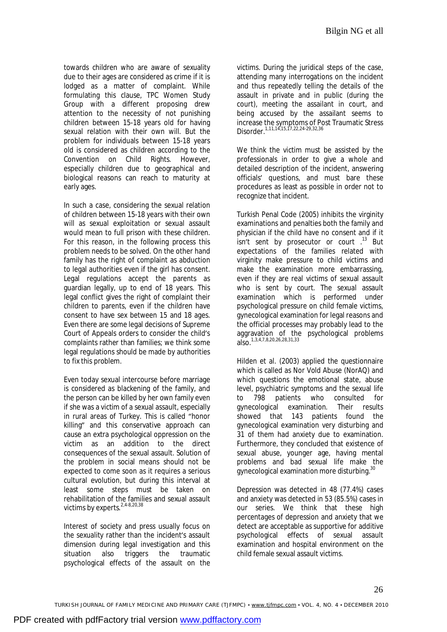towards children who are aware of sexuality due to their ages are considered as crime if it is lodged as a matter of complaint. While formulating this clause, TPC Women Study Group with a different proposing drew attention to the necessity of not punishing children between 15-18 years old for having sexual relation with their own will. But the problem for individuals between 15-18 years old is considered as children according to the Convention on Child Rights. However, especially children due to geographical and biological reasons can reach to maturity at early ages.

In such a case, considering the sexual relation of children between 15-18 years with their own will as sexual exploitation or sexual assault would mean to full prison with these children. For this reason, in the following process this problem needs to be solved. On the other hand family has the right of complaint as abduction to legal authorities even if the girl has consent. Legal regulations accept the parents as guardian legally, up to end of 18 years. This legal conflict gives the right of complaint their children to parents, even if the children have consent to have sex between 15 and 18 ages. Even there are some legal decisions of Supreme Court of Appeals orders to consider the child's complaints rather than families; we think some legal regulations should be made by authorities to fix this problem.

Even today sexual intercourse before marriage is considered as blackening of the family, and the person can be killed by her own family even if she was a victim of a sexual assault, especially in rural areas of Turkey. This is called "honor killing" and this conservative approach can cause an extra psychological oppression on the victim as an addition to the direct consequences of the sexual assault. Solution of the problem in social means should not be expected to come soon as it requires a serious cultural evolution, but during this interval at least some steps must be taken on rehabilitation of the families and sexual assault victims by experts.<sup>2,4-8,20,38</sup>

Interest of society and press usually focus on the sexuality rather than the incident's assault dimension during legal investigation and this situation also triggers the traumatic psychological effects of the assault on the

victims. During the juridical steps of the case, attending many interrogations on the incident and thus repeatedly telling the details of the assault in private and in public (during the court), meeting the assailant in court, and being accused by the assailant seems to increase the symptoms of Post Traumatic Stress Disorder.1,11,14,15,17,22,24-29,32,36

We think the victim must be assisted by the professionals in order to give a whole and detailed description of the incident, answering officials' questions, and must bare these procedures as least as possible in order not to recognize that incident.

Turkish Penal Code (2005) inhibits the virginity examinations and penalties both the family and physician if the child have no consent and if it isn't sent by prosecutor or court .<sup>13</sup> But expectations of the families related with virginity make pressure to child victims and make the examination more embarrassing, even if they are real victims of sexual assault who is sent by court. The sexual assault examination which is performed under psychological pressure on child female victims, gynecological examination for legal reasons and the official processes may probably lead to the aggravation of the psychological problems also.<sup>1,3,4,7,8,20,26,28,31,33</sup>

Hilden et al. (2003) applied the questionnaire which is called as Nor Vold Abuse (NorAQ) and which questions the emotional state, abuse level, psychiatric symptoms and the sexual life to 798 patients who consulted for gynecological examination. Their results showed that 143 patients found the gynecological examination very disturbing and 31 of them had anxiety due to examination. Furthermore, they concluded that existence of sexual abuse, younger age, having mental problems and bad sexual life make the gynecological examination more disturbing.<sup>30</sup>

Depression was detected in 48 (77.4%) cases and anxiety was detected in 53 (85.5%) cases in our series. We think that these high percentages of depression and anxiety that we detect are acceptable as supportive for additive psychological effects of sexual assault examination and hospital environment on the child female sexual assault victims.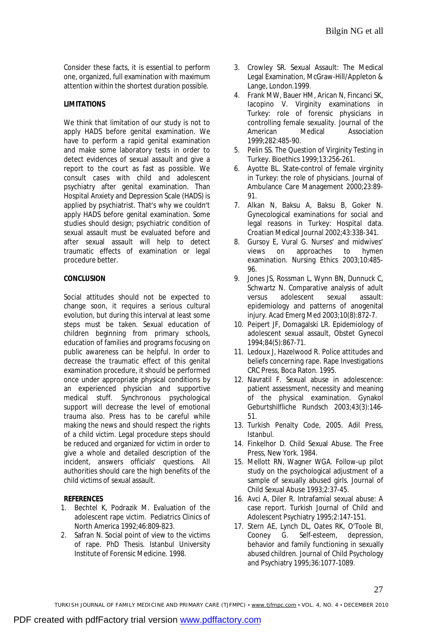Consider these facts, it is essential to perform one, organized, full examination with maximum attention within the shortest duration possible.

# **LIMITATIONS**

We think that limitation of our study is not to apply HADS before genital examination. We have to perform a rapid genital examination and make some laboratory tests in order to detect evidences of sexual assault and give a report to the court as fast as possible. We consult cases with child and adolescent psychiatry after genital examination. Than Hospital Anxiety and Depression Scale (HADS) is applied by psychiatrist. That's why we couldn't apply HADS before genital examination. Some studies should design; psychiatric condition of sexual assault must be evaluated before and after sexual assault will help to detect traumatic effects of examination or legal procedure better.

## **CONCLUSION**

Social attitudes should not be expected to change soon, it requires a serious cultural evolution, but during this interval at least some steps must be taken. Sexual education of children beginning from primary schools, education of families and programs focusing on public awareness can be helpful. In order to decrease the traumatic effect of this genital examination procedure, it should be performed once under appropriate physical conditions by an experienced physician and supportive medical stuff. Synchronous psychological support will decrease the level of emotional trauma also. Press has to be careful while making the news and should respect the rights of a child victim. Legal procedure steps should be reduced and organized for victim in order to give a whole and detailed description of the incident, answers officials' questions. All authorities should care the high benefits of the child victims of sexual assault.

## **REFERENCES**

- 1. Bechtel K, Podrazik M. Evaluation of the adolescent rape victim. Pediatrics Clinics of North America 1992;46:809-823.
- 2. Safran N. Social point of view to the victims of rape. PhD Thesis. Istanbul University Institute of Forensic Medicine. 1998.
- 3. Crowley SR. Sexual Assault: The Medical Legal Examination, McGraw-Hill/Appleton & Lange, London.1999.
- 4. Frank MW, Bauer HM, Arican N, Fincanci SK, Iacopino V. Virginity examinations in Turkey: role of forensic physicians in controlling female sexuality. Journal of the American Medical Association 1999;282:485-90.
- 5. Pelin SS. The Question of Virginity Testing in Turkey. Bioethics 1999;13:256-261.
- 6. Ayotte BL. State-control of female virginity in Turkey: the role of physicians. Journal of Ambulance Care Management 2000;23:89- 91.
- 7. Alkan N, Baksu A, Baksu B, Goker N. Gynecological examinations for social and legal reasons in Turkey: Hospital data. Croatian Medical Journal 2002;43:338-341.
- 8. Gursoy E, Vural G. Nurses' and midwives' views on approaches to hymen examination. Nursing Ethics 2003;10:485- 96.
- 9. Jones JS, Rossman L, Wynn BN, Dunnuck C, Schwartz N. Comparative analysis of adult versus adolescent sexual assault: epidemiology and patterns of anogenital injury. Acad Emerg Med 2003;10(8):872-7.
- 10. Peipert JF, Domagalski LR. Epidemiology of adolescent sexual assault, Obstet Gynecol 1994;84(5):867-71.
- 11. Ledoux J, Hazelwood R. Police attitudes and beliefs concerning rape. Rape Investigations CRC Press, Boca Raton. 1995.
- 12. Navratil F. Sexual abuse in adolescence: patient assessment, necessity and meaning of the physical examination. Gynakol Geburtshilfliche Rundsch 2003;43(3):146- 51.
- 13. Turkish Penalty Code, 2005. Adil Press, Istanbul.
- 14. Finkelhor D. Child Sexual Abuse. The Free Press, New York. 1984.
- 15. Mellott RN, Wagner WGA. Follow-up pilot study on the psychological adjustment of a sample of sexually abused girls. Journal of Child Sexual Abuse 1993;2:37-45.
- 16. Avci A, Diler R. Intrafamial sexual abuse: A case report. Turkish Journal of Child and Adolescent Psychiatry 1995;2:147-151.
- 17. Stern AE, Lynch DL, Oates RK, O'Toole BI, Cooney G. Self-esteem, depression, behavior and family functioning in sexually abused children. Journal of Child Psychology and Psychiatry 1995;36:1077-1089.